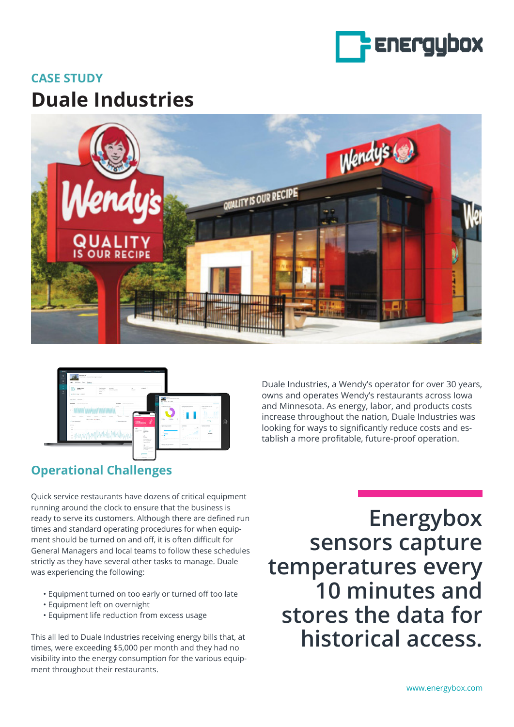

## **CASE STUDY Duale Industries**





Duale Industries, a Wendy's operator for over 30 years, owns and operates Wendy's restaurants across Iowa and Minnesota. As energy, labor, and products costs increase throughout the nation, Duale Industries was looking for ways to significantly reduce costs and establish a more profitable, future-proof operation.

## **Operational Challenges**

Quick service restaurants have dozens of critical equipment running around the clock to ensure that the business is ready to serve its customers. Although there are defined run times and standard operating procedures for when equipment should be turned on and off, it is often difficult for General Managers and local teams to follow these schedules strictly as they have several other tasks to manage. Duale was experiencing the following:

- Equipment turned on too early or turned off too late
- Equipment left on overnight
- Equipment life reduction from excess usage

This all led to Duale Industries receiving energy bills that, at times, were exceeding \$5,000 per month and they had no visibility into the energy consumption for the various equipment throughout their restaurants.

**Energybox sensors capture temperatures every 10 minutes and stores the data for historical access.**